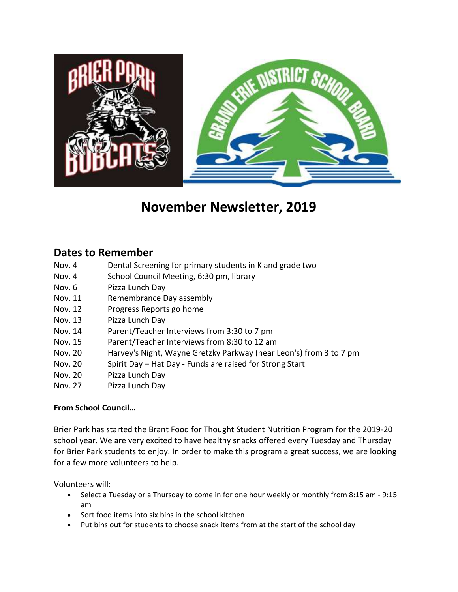

## **November Newsletter, 2019**

## **Dates to Remember**

- Nov. 4 Dental Screening for primary students in K and grade two
- Nov. 4 School Council Meeting, 6:30 pm, library
- Nov. 6 Pizza Lunch Day
- Nov. 11 Remembrance Day assembly
- Nov. 12 Progress Reports go home
- Nov. 13 Pizza Lunch Day
- Nov. 14 Parent/Teacher Interviews from 3:30 to 7 pm
- Nov. 15 Parent/Teacher Interviews from 8:30 to 12 am
- Nov. 20 Harvey's Night, Wayne Gretzky Parkway (near Leon's) from 3 to 7 pm
- Nov. 20 Spirit Day Hat Day Funds are raised for Strong Start
- Nov. 20 Pizza Lunch Day
- Nov. 27 Pizza Lunch Day

## **From School Council…**

Brier Park has started the Brant Food for Thought Student Nutrition Program for the 2019-20 school year. We are very excited to have healthy snacks offered every Tuesday and Thursday for Brier Park students to enjoy. In order to make this program a great success, we are looking for a few more volunteers to help.

Volunteers will:

- Select a Tuesday or a Thursday to come in for one hour weekly or monthly from 8:15 am 9:15 am
- Sort food items into six bins in the school kitchen
- Put bins out for students to choose snack items from at the start of the school day